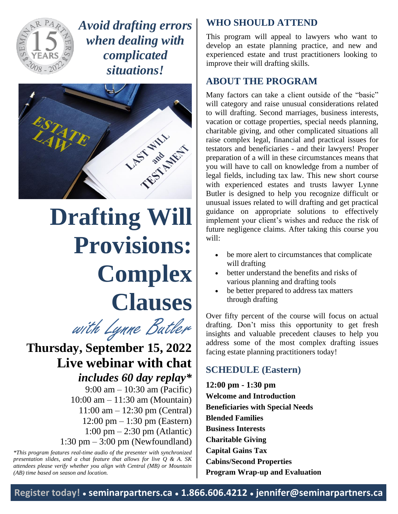

*Avoid drafting errors when dealing with complicated situations!*



# **Drafting Will Provisions: Complex Clauses**



**Thursday, September 15, 2022 Live webinar with chat** *includes 60 day replay\** 9:00 am – 10:30 am (Pacific) 10:00 am – 11:30 am (Mountain) 11:00 am – 12:30 pm (Central) 12:00 pm – 1:30 pm (Eastern) 1:00 pm – 2:30 pm (Atlantic) 1:30 pm – 3:00 pm (Newfoundland)

*\*This program features real-time audio of the presenter with synchronized presentation slides, and a chat feature that allows for live Q & A. SK attendees please verify whether you align with Central (MB) or Mountain (AB) time based on season and location.*

## **WHO SHOULD ATTEND**

This program will appeal to lawyers who want to develop an estate planning practice, and new and experienced estate and trust practitioners looking to improve their will drafting skills.

## **ABOUT THE PROGRAM**

Many factors can take a client outside of the "basic" will category and raise unusual considerations related to will drafting. Second marriages, business interests, vacation or cottage properties, special needs planning, charitable giving, and other complicated situations all raise complex legal, financial and practical issues for testators and beneficiaries - and their lawyers! Proper preparation of a will in these circumstances means that you will have to call on knowledge from a number of legal fields, including tax law. This new short course with experienced estates and trusts lawyer Lynne Butler is designed to help you recognize difficult or unusual issues related to will drafting and get practical guidance on appropriate solutions to effectively implement your client's wishes and reduce the risk of future negligence claims. After taking this course you will:

- be more alert to circumstances that complicate will drafting
- better understand the benefits and risks of various planning and drafting tools
- be better prepared to address tax matters through drafting

Over fifty percent of the course will focus on actual drafting. Don't miss this opportunity to get fresh insights and valuable precedent clauses to help you address some of the most complex drafting issues facing estate planning practitioners today!

## **SCHEDULE (Eastern)**

**12:00 pm - 1:30 pm Welcome and Introduction Beneficiaries with Special Needs Blended Families Business Interests Charitable Giving Capital Gains Tax Cabins/Second Properties Program Wrap-up and Evaluation**

**Register today! ● seminarpartners.ca ● 1.866.606.4212 ● jennifer@seminarpartners.ca**